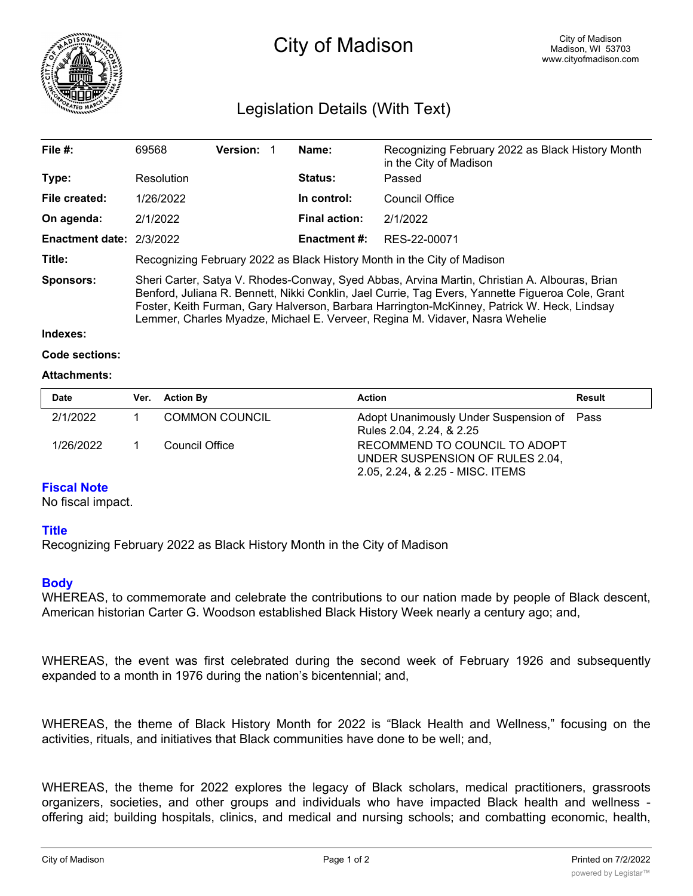

# City of Madison

## Legislation Details (With Text)

| File #:                | 69568                                                                                                                                                                                                                                                                                                                                                                             | <b>Version:</b> |             | Name:                | Recognizing February 2022 as Black History Month<br>in the City of Madison |  |
|------------------------|-----------------------------------------------------------------------------------------------------------------------------------------------------------------------------------------------------------------------------------------------------------------------------------------------------------------------------------------------------------------------------------|-----------------|-------------|----------------------|----------------------------------------------------------------------------|--|
| Type:                  | Resolution                                                                                                                                                                                                                                                                                                                                                                        |                 |             | <b>Status:</b>       | Passed                                                                     |  |
| File created:          | 1/26/2022                                                                                                                                                                                                                                                                                                                                                                         |                 | In control: | Council Office       |                                                                            |  |
| On agenda:             | 2/1/2022                                                                                                                                                                                                                                                                                                                                                                          |                 |             | <b>Final action:</b> | 2/1/2022                                                                   |  |
| <b>Enactment date:</b> | 2/3/2022                                                                                                                                                                                                                                                                                                                                                                          |                 |             | <b>Enactment #:</b>  | RES-22-00071                                                               |  |
| Title:                 | Recognizing February 2022 as Black History Month in the City of Madison                                                                                                                                                                                                                                                                                                           |                 |             |                      |                                                                            |  |
| <b>Sponsors:</b>       | Sheri Carter, Satya V. Rhodes-Conway, Syed Abbas, Arvina Martin, Christian A. Albouras, Brian<br>Benford, Juliana R. Bennett, Nikki Conklin, Jael Currie, Tag Evers, Yannette Figueroa Cole, Grant<br>Foster, Keith Furman, Gary Halverson, Barbara Harrington-McKinney, Patrick W. Heck, Lindsay<br>Lemmer, Charles Myadze, Michael E. Verveer, Regina M. Vidaver, Nasra Wehelie |                 |             |                      |                                                                            |  |

#### **Indexes:**

```
Code sections:
```
#### **Attachments:**

| <b>Date</b> | Ver. Action By        | <b>Action</b>                                                                                        | Result |
|-------------|-----------------------|------------------------------------------------------------------------------------------------------|--------|
| 2/1/2022    | <b>COMMON COUNCIL</b> | Adopt Unanimously Under Suspension of Pass<br>Rules 2.04, 2.24, & 2.25                               |        |
| 1/26/2022   | Council Office        | RECOMMEND TO COUNCIL TO ADOPT<br>UNDER SUSPENSION OF RULES 2.04,<br>2.05, 2.24, & 2.25 - MISC. ITEMS |        |

### **Fiscal Note**

No fiscal impact.

#### **Title**

Recognizing February 2022 as Black History Month in the City of Madison

#### **Body**

WHEREAS, to commemorate and celebrate the contributions to our nation made by people of Black descent, American historian Carter G. Woodson established Black History Week nearly a century ago; and,

WHEREAS, the event was first celebrated during the second week of February 1926 and subsequently expanded to a month in 1976 during the nation's bicentennial; and,

WHEREAS, the theme of Black History Month for 2022 is "Black Health and Wellness," focusing on the activities, rituals, and initiatives that Black communities have done to be well; and,

WHEREAS, the theme for 2022 explores the legacy of Black scholars, medical practitioners, grassroots organizers, societies, and other groups and individuals who have impacted Black health and wellness offering aid; building hospitals, clinics, and medical and nursing schools; and combatting economic, health,